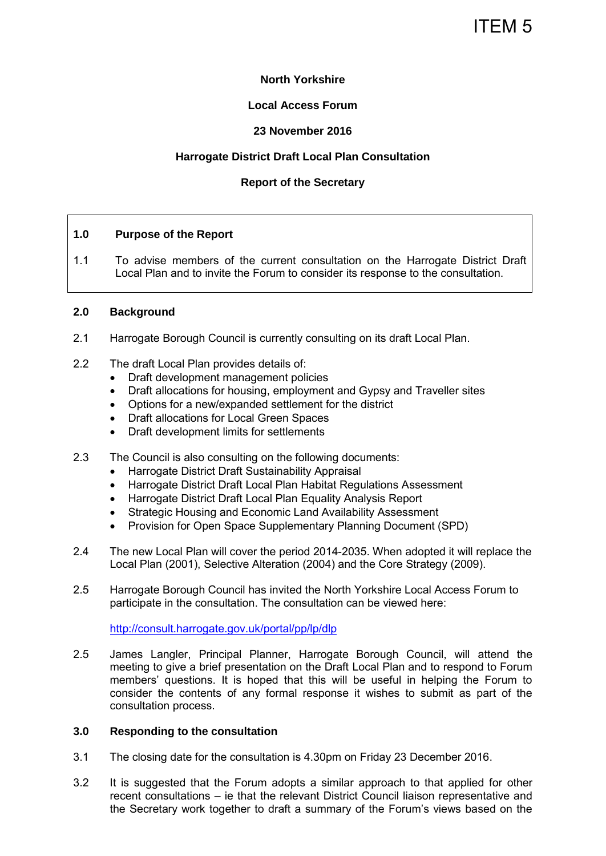# ITEM 5

# **North Yorkshire**

## **Local Access Forum**

# **23 November 2016**

# **Harrogate District Draft Local Plan Consultation**

## **Report of the Secretary**

#### **1.0 Purpose of the Report**

1.1 To advise members of the current consultation on the Harrogate District Draft Local Plan and to invite the Forum to consider its response to the consultation.

#### **2.0 Background**

- 2.1 Harrogate Borough Council is currently consulting on its draft Local Plan.
- 2.2 The draft Local Plan provides details of:
	- Draft development management policies
	- Draft allocations for housing, employment and Gypsy and Traveller sites
	- Options for a new/expanded settlement for the district
	- Draft allocations for Local Green Spaces
	- Draft development limits for settlements
- 2.3 The Council is also consulting on the following documents:
	- Harrogate District Draft Sustainability Appraisal
	- Harrogate District Draft Local Plan Habitat Regulations Assessment
	- Harrogate District Draft Local Plan Equality Analysis Report
	- Strategic Housing and Economic Land Availability Assessment
	- Provision for Open Space Supplementary Planning Document (SPD)
- 2.4 The new Local Plan will cover the period 2014-2035. When adopted it will replace the Local Plan (2001), Selective Alteration (2004) and the Core Strategy (2009).
- 2.5 Harrogate Borough Council has invited the North Yorkshire Local Access Forum to participate in the consultation. The consultation can be viewed here:

<http://consult.harrogate.gov.uk/portal/pp/lp/dlp>

2.5 James Langler, Principal Planner, Harrogate Borough Council, will attend the meeting to give a brief presentation on the Draft Local Plan and to respond to Forum members' questions. It is hoped that this will be useful in helping the Forum to consider the contents of any formal response it wishes to submit as part of the consultation process.

#### **3.0 Responding to the consultation**

- 3.1 The closing date for the consultation is 4.30pm on Friday 23 December 2016.
- 3.2 It is suggested that the Forum adopts a similar approach to that applied for other recent consultations – ie that the relevant District Council liaison representative and the Secretary work together to draft a summary of the Forum's views based on the